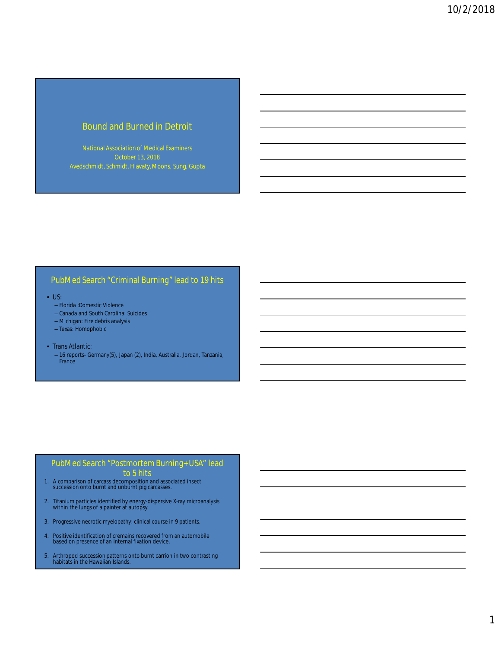# Bound and Burned in Detroit

National Association of Medical Examiners Avedschmidt, Schmidt, Hlavaty, Moons, Sung, Gupta

#### PubMed Search "Criminal Burning" lead to 19 hits

#### • US:

- Florida :Domestic Violence
- Canada and South Carolina: Suicides
- Michigan: Fire debris analysis
- Texas: Homophobic
- Trans Atlantic:
	- 16 reports- Germany(5), Japan (2), India, Australia, Jordan, Tanzania, France

#### PubMed Search "Postmortem Burning+ USA" lead to 5 hits

- 1. A comparison of carcass decomposition and associated insect succession onto burnt and unburnt pig carcasses.
- 2. Titanium particles identified by energy-dispersive X-ray microanalysis within the lungs of a painter at autopsy.
- 3. Progressive necrotic myelopathy: clinical course in 9 patients.
- 4. Positive identification of cremains recovered from an automobile based on presence of an internal fixation device.
- 5. Arthropod succession patterns onto burnt carrion in two contrasting habitats in the Hawaiian Islands.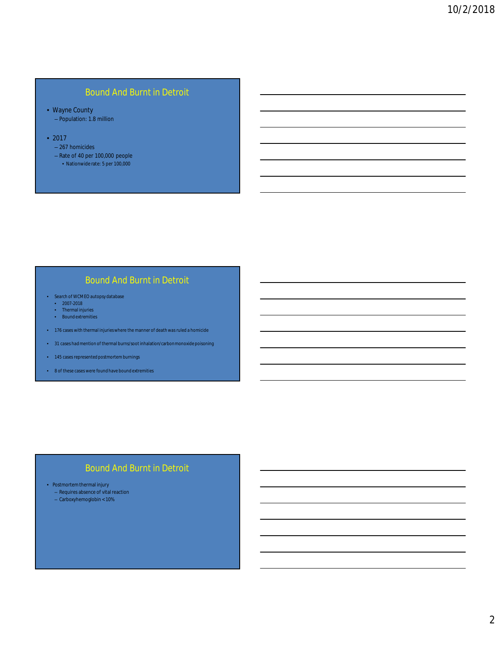# Bound And Burnt in Detroit

- Wayne County – Population: 1.8 million
- 2017
	- 267 homicides
	- Rate of 40 per 100,000 people
		- Nationwide rate: 5 per 100,000

# Bound And Burnt in Detroit

- Search of WCMEO autopsy database
	- 2007-2018
	- Thermal injuries • Bound extremities
- 176 cases with thermal injuries where the manner of death was ruled a homicide
- 31 cases had mention of thermal burns/soot inhalation/carbon monoxide poisoning
- 145 cases represented postmortem burnings
- 8 of these cases were found have bound extremities

### Bound And Burnt in Detroit

• Postmortem thermal injury

- Requires absence of vital reaction
- Carboxyhemoglobin < 10%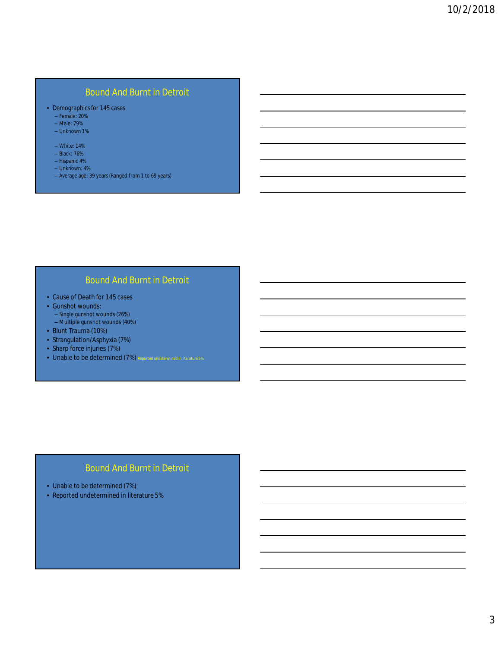# Bound And Burnt in Detroit

- Demographics for 145 cases
	- Female: 20%
	- Male: 79%
	- Unknown 1%
	- White: 14%
	- Black: 76%
	- Hispanic 4%
	- Unknown: 4%
	- Average age: 39 years (Ranged from 1 to 69 years)

## Bound And Burnt in Detroit

- Cause of Death for 145 cases
- Gunshot wounds:
	- Single gunshot wounds (26%)
- Multiple gunshot wounds (40%)
- Blunt Trauma (10%)
- Strangulation/Asphyxia (7%)
- Sharp force injuries (7%)
- Unable to be determined (7%) Reported undetermined in literature 5%

# Bound And Burnt in Detroit

- Unable to be determined (7%)
- Reported undetermined in literature 5%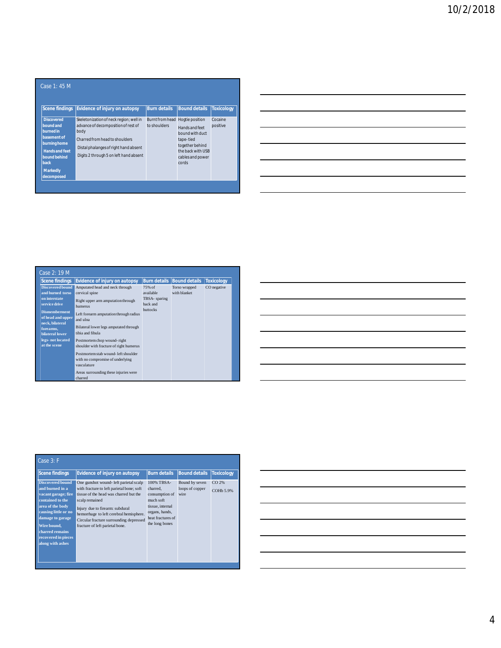| <b>Scene findings</b>                                                                                                                                        | <b>Evidence of injury on autopsy</b>                                                                                                                                                                        | <b>Burn details</b>                             | <b>Bound details</b>                                                                                                | <b>Toxicology</b>   |
|--------------------------------------------------------------------------------------------------------------------------------------------------------------|-------------------------------------------------------------------------------------------------------------------------------------------------------------------------------------------------------------|-------------------------------------------------|---------------------------------------------------------------------------------------------------------------------|---------------------|
| <b>Discovered</b><br>bound and<br>burned in<br>basement of<br>burning home<br><b>Hands and feet</b><br>bound behind<br>back<br><b>Markedly</b><br>decomposed | Skeletonization of neck region; well in<br>advance of decomposition of rest of<br>body<br>Charred from head to shoulders<br>Distal phalanges of right hand absent<br>Digits 2 through 5 on left hand absent | Burnt from head Hogtie position<br>to shoulders | Hands and feet<br>bound with duct<br>tape-tied<br>together behind<br>the back with USB<br>cables and power<br>cords | Cocaine<br>positive |

|                                                                                                                 | _____ |
|-----------------------------------------------------------------------------------------------------------------|-------|
|                                                                                                                 |       |
| the contract of the contract of the contract of the contract of the contract of the contract of the contract of |       |
|                                                                                                                 |       |
|                                                                                                                 |       |
|                                                                                                                 |       |
|                                                                                                                 |       |
|                                                                                                                 |       |
| the contract of the contract of the contract of                                                                 |       |
|                                                                                                                 |       |

| <b>Scene findings</b>                                                                                                                                                                                             | <b>Evidence of injury on autopsy</b>                                                                                                                                                                                                                                                                                                                                                                                                 | <b>Burn details</b>                                                 | <b>Bound details</b>          | <b>Toxicology</b> |
|-------------------------------------------------------------------------------------------------------------------------------------------------------------------------------------------------------------------|--------------------------------------------------------------------------------------------------------------------------------------------------------------------------------------------------------------------------------------------------------------------------------------------------------------------------------------------------------------------------------------------------------------------------------------|---------------------------------------------------------------------|-------------------------------|-------------------|
| <b>Discovered bound</b><br>and burned torso<br>on interstate<br>service drive<br><b>Dismemberment</b><br>of head and upper<br>neck, bilateral<br>forearms,<br>bilateral lower<br>legs-not located<br>at the scene | Amputated head and neck through<br>cervical spine<br>Right upper arm amputation through<br>humerus<br>Left forearm amputation through radius<br>and ulna<br>Bilateral lower legs amputated through<br>tibia and fibula<br>Postmortem chop wound-right<br>shoulder with fracture of right humerus<br>Postmortem stab wound- left shoulder<br>with no compromise of underlying<br>vasculature<br>Areas surrounding these injuries were | 75% of<br>available<br>TBSA- sparing<br>back and<br><b>buttocks</b> | Torso wrapped<br>with blanket | CO negative       |

|  |  | $\overline{\phantom{a}}$ |
|--|--|--------------------------|
|  |  |                          |
|  |  | ________                 |
|  |  |                          |
|  |  |                          |
|  |  |                          |
|  |  |                          |
|  |  |                          |
|  |  |                          |
|  |  |                          |
|  |  |                          |
|  |  |                          |

| Case 3: F                                                                                                                                                                                                                          |                                                                                                                                                                                                                                                                                                             |                                                                                                                                    |                                           |                    |
|------------------------------------------------------------------------------------------------------------------------------------------------------------------------------------------------------------------------------------|-------------------------------------------------------------------------------------------------------------------------------------------------------------------------------------------------------------------------------------------------------------------------------------------------------------|------------------------------------------------------------------------------------------------------------------------------------|-------------------------------------------|--------------------|
| Scene findings                                                                                                                                                                                                                     | <b>Evidence of injury on autopsy</b>                                                                                                                                                                                                                                                                        | <b>Burn details</b>                                                                                                                | <b>Bound details</b>                      | <b>Toxicology</b>  |
| <b>Discovered bound</b><br>and burned in a<br>vacant garage; fire<br>contained to the<br>area of the body<br>causing little or no<br>damage to garage<br>Wire bound.<br>charred remains<br>recovered in pieces<br>along with ashes | One gunshot wound- left parietal scalp<br>with fracture to left parietal bone; soft<br>tissue of the head was charred but the<br>scalp remained<br>Injury due to firearm: subdural<br>hemorrhage to left cerebral hemisphere.<br>Circular fracture surrounding depressed<br>fracture of left parietal bone. | 100% TBSA-<br>charred.<br>consumption of<br>much soft<br>tissue, internal<br>organs, hands,<br>heat fractures of<br>the long bones | Bound by seven<br>loops of copper<br>wire | CO 2%<br>COHb 5.9% |

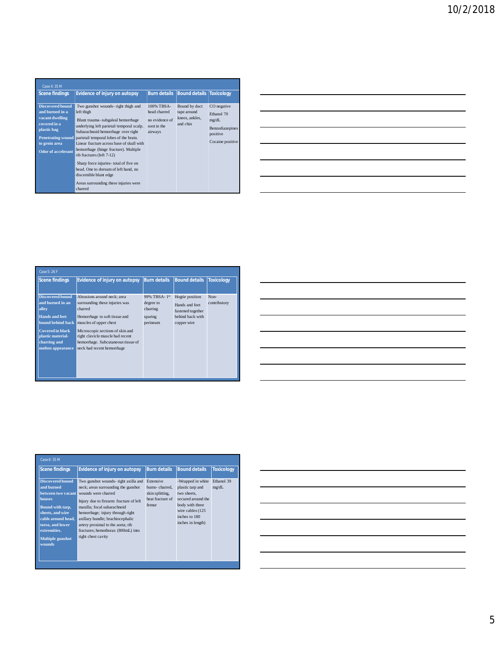| <b>Burn details Bound details Toxicology</b><br><b>Scene findings</b><br><b>Evidence of injury on autopsy</b><br>100% TBSA-                                                                                                                                                                                                                                                                                                                                                                                                                                                                                                                                                                                                      | Case 4:35 M             |                                                                                   |                                     |
|----------------------------------------------------------------------------------------------------------------------------------------------------------------------------------------------------------------------------------------------------------------------------------------------------------------------------------------------------------------------------------------------------------------------------------------------------------------------------------------------------------------------------------------------------------------------------------------------------------------------------------------------------------------------------------------------------------------------------------|-------------------------|-----------------------------------------------------------------------------------|-------------------------------------|
|                                                                                                                                                                                                                                                                                                                                                                                                                                                                                                                                                                                                                                                                                                                                  |                         |                                                                                   |                                     |
| and burned in a<br>left thigh<br>head charred<br>tape around<br>vacant dwelling<br>knees, ankles,<br>no evidence of<br>Blunt trauma- subgaleal hemorrhage<br>mg/dL<br>covered in a<br>and chin<br>underlying left parietal/temporal scalp.<br>soot in the<br>plastic bag<br>Subarachnoid hemorrhage over right<br>airways<br>positive<br><b>Penetrating wound</b><br>parietal/temporal lobes of the brain.<br>to groin area<br>Linear fracture across base of skull with<br>hemorrhage (hinge fracture). Multiple<br><b>Odor of accelerant</b><br>rib fractures (left 7-12)<br>Sharp force injuries- total of five on<br>head. One to dorsum of left hand, no<br>discernible blunt edge<br>Areas surrounding these injuries were | <b>Discovered bound</b> | Bound by duct<br>CO negative<br>Ethanol 70<br>Benzodiazepines<br>Cocaine positive | Two gunshot wounds- right thigh and |

|                                                                                                                 | $\overline{\phantom{a}}$          |
|-----------------------------------------------------------------------------------------------------------------|-----------------------------------|
|                                                                                                                 |                                   |
|                                                                                                                 |                                   |
| the contract of the contract of the contract of the contract of the contract of the contract of the contract of | the control of the control of the |
|                                                                                                                 |                                   |
|                                                                                                                 | $\overline{\phantom{a}}$          |
|                                                                                                                 |                                   |
|                                                                                                                 |                                   |
|                                                                                                                 |                                   |
|                                                                                                                 |                                   |
|                                                                                                                 |                                   |
|                                                                                                                 |                                   |
|                                                                                                                 |                                   |
|                                                                                                                 |                                   |
| the control of the control of the control of                                                                    |                                   |

| Case 5: 26 F                                                                                       |                                                                                                                                          |                                                              |                                                                                           |                      |
|----------------------------------------------------------------------------------------------------|------------------------------------------------------------------------------------------------------------------------------------------|--------------------------------------------------------------|-------------------------------------------------------------------------------------------|----------------------|
| Scene findings                                                                                     | <b>Evidence of injury on autopsy</b>                                                                                                     | <b>Burn details</b>                                          | <b>Bound details</b>                                                                      | <b>Toxicology</b>    |
| <b>Discovered bound</b><br>and burned in an<br>alley<br><b>Hands and feet</b><br>bound behind back | Abrasions around neck: area<br>surrounding these injuries was<br>charred<br>Hemorrhage to soft tissue and<br>muscles of upper chest      | 99% TBSA-1st<br>degree to<br>charring<br>sparing<br>perineum | Hogtie position<br>Hands and feet<br>fastened together<br>behind back with<br>copper wire | Non-<br>contributory |
| <b>Covered in black</b><br>plastic material-<br>charring and<br>molten appearance                  | Microscopic sections of skin and<br>right clavicle muscle had recent<br>hemorrhage. Subcutaneous tissue of<br>neck had recent hemorrhage |                                                              |                                                                                           |                      |

|                                                                                                                                                                                                                                      |  | <u> 1989 - Johann Stoff, amerikansk politiker (* 1908)</u> |  |
|--------------------------------------------------------------------------------------------------------------------------------------------------------------------------------------------------------------------------------------|--|------------------------------------------------------------|--|
|                                                                                                                                                                                                                                      |  |                                                            |  |
|                                                                                                                                                                                                                                      |  |                                                            |  |
|                                                                                                                                                                                                                                      |  |                                                            |  |
|                                                                                                                                                                                                                                      |  |                                                            |  |
|                                                                                                                                                                                                                                      |  |                                                            |  |
| <u> Andreas Andreas Andreas Andreas Andreas Andreas Andreas Andreas Andreas Andreas Andreas Andreas Andreas Andreas Andreas Andreas Andreas Andreas Andreas Andreas Andreas Andreas Andreas Andreas Andreas Andreas Andreas Andr</u> |  |                                                            |  |
|                                                                                                                                                                                                                                      |  |                                                            |  |
| $\overline{\phantom{a}}$                                                                                                                                                                                                             |  |                                                            |  |
|                                                                                                                                                                                                                                      |  |                                                            |  |
|                                                                                                                                                                                                                                      |  |                                                            |  |
|                                                                                                                                                                                                                                      |  |                                                            |  |
|                                                                                                                                                                                                                                      |  |                                                            |  |
|                                                                                                                                                                                                                                      |  |                                                            |  |

| Case 6:35 M                                                                                                                                                                                                  |                                                                                                                                                                                                                                                                                                                                                       |                                                                                    |                                                                                                                                                         |                     |
|--------------------------------------------------------------------------------------------------------------------------------------------------------------------------------------------------------------|-------------------------------------------------------------------------------------------------------------------------------------------------------------------------------------------------------------------------------------------------------------------------------------------------------------------------------------------------------|------------------------------------------------------------------------------------|---------------------------------------------------------------------------------------------------------------------------------------------------------|---------------------|
| <b>Scene findings</b>                                                                                                                                                                                        | <b>Evidence of injury on autopsy</b>                                                                                                                                                                                                                                                                                                                  | <b>Burn details</b>                                                                | <b>Bound details</b>                                                                                                                                    | <b>Toxicology</b>   |
| <b>Discovered bound</b><br>and burned<br>between two vacant<br>houses<br>Bound with tarp,<br>sheets, and wire<br>cable around head.<br>torso, and lower<br>extremities.<br><b>Multiple gunshot</b><br>wounds | Two gunshot wounds- right axilla and<br>neck; areas surrounding the gunshot<br>wounds were charred<br>Injury due to firearm: fracture of left<br>maxilla: focal subarachnoid<br>hemorrhage; injury through right<br>axillary bundle; brachiocephalic<br>artery proximal to the aorta; rib<br>fractures; hemothorax (800mL) into<br>right chest cavity | <b>Extensive</b><br>burns-charred.<br>skin splitting,<br>heat fracture of<br>femur | -Wrapped in white<br>plastic tarp and<br>two sheets.<br>secured around the<br>body with three<br>wire cables (125<br>inches to 180<br>inches in length) | Ethanol 39<br>mg/dL |

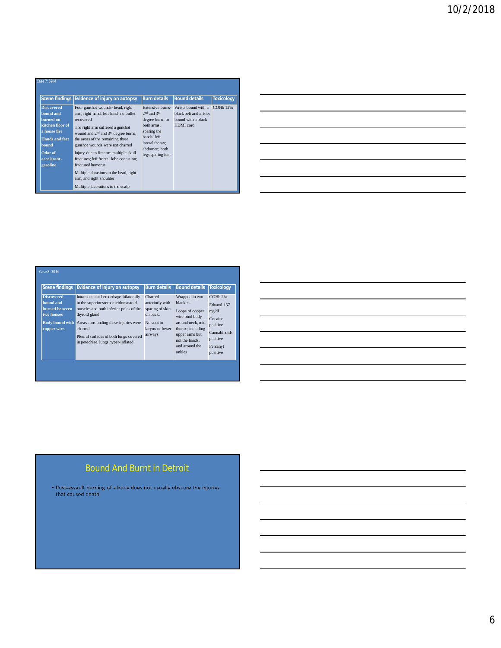| Case 7:59 M                                                                                                                                                    |                                                                                                                                                                                                                                                                                                                                                                                                                                                                |                                                                                                                                                             |                                                                                 |                      |
|----------------------------------------------------------------------------------------------------------------------------------------------------------------|----------------------------------------------------------------------------------------------------------------------------------------------------------------------------------------------------------------------------------------------------------------------------------------------------------------------------------------------------------------------------------------------------------------------------------------------------------------|-------------------------------------------------------------------------------------------------------------------------------------------------------------|---------------------------------------------------------------------------------|----------------------|
|                                                                                                                                                                | Scene findings Evidence of injury on autopsy                                                                                                                                                                                                                                                                                                                                                                                                                   | <b>Burn details</b>                                                                                                                                         | <b>Bound details</b>                                                            | <b>Toxicology</b>    |
| <b>Discovered</b><br>bound and<br>burned on<br>kitchen floor of<br>a house fire<br><b>Hands and feet</b><br><b>bound</b><br>Odor of<br>accelerant-<br>gasoline | Four gunshot wounds- head, right<br>arm, right hand, left hand- no bullet<br>recovered<br>The right arm suffered a gunshot<br>wound and $2nd$ and $3rd$ degree burns:<br>the areas of the remaining three<br>gunshot wounds were not charred<br>Injury due to firearm: multiple skull<br>fractures: left frontal lobe contusion:<br>fractured humerus<br>Multiple abrasions to the head, right<br>arm, and right shoulder<br>Multiple lacerations to the scalp | Extensive burns-<br>$2nd$ and $3rd$<br>degree burns to<br>both arms.<br>sparing the<br>hands; left<br>lateral thorax:<br>abdomen; both<br>legs sparing feet | Wrists bound with a<br>black belt and ankles<br>bound with a black<br>HDMI cord | COH <sub>b</sub> 12% |

| <b>Scene findings</b>                                                                                    | <b>Evidence of injury on autopsy</b>                                                                                                                                                                                                                                       | <b>Burn details</b>                                                                                   | <b>Bound details</b>                                                                                                                                                            | <b>Toxicology</b>                                                                                            |
|----------------------------------------------------------------------------------------------------------|----------------------------------------------------------------------------------------------------------------------------------------------------------------------------------------------------------------------------------------------------------------------------|-------------------------------------------------------------------------------------------------------|---------------------------------------------------------------------------------------------------------------------------------------------------------------------------------|--------------------------------------------------------------------------------------------------------------|
| <b>Discovered</b><br>bound and<br>burned between<br>two houses<br><b>Body bound with</b><br>copper wire. | Intramuscular hemorrhage bilaterally<br>in the superior sternocleidomastoid<br>muscles and both inferior poles of the<br>thyroid gland<br>Areas surrounding these injuries were<br>charred<br>Pleural surfaces of both lungs covered<br>in petechiae, lungs hyper-inflated | Charred<br>anteriorly with<br>sparing of skin<br>on back.<br>No soot in<br>larynx or lower<br>airways | Wrapped in two<br><b>blankets</b><br>Loops of copper<br>wire bind body<br>around neck, mid<br>thorax; including<br>upper arms but<br>not the hands.<br>and around the<br>ankles | $COHb$ 2%<br>Ethanol 157<br>mg/dL<br>Cocaine<br>positive<br>Cannabinoids<br>positive<br>Fentanyl<br>positive |

 $\mathbb{R}^2$ 

|                                                                                  | ________ |
|----------------------------------------------------------------------------------|----------|
|                                                                                  |          |
|                                                                                  |          |
|                                                                                  |          |
|                                                                                  |          |
|                                                                                  |          |
|                                                                                  |          |
|                                                                                  |          |
|                                                                                  |          |
|                                                                                  |          |
|                                                                                  |          |
|                                                                                  |          |
|                                                                                  |          |
|                                                                                  |          |
| ,我们也不会有什么。""我们的人,我们也不会有什么?""我们的人,我们也不会有什么?""我们的人,我们也不会有什么?""我们的人,我们也不会有什么?""我们的人 |          |

# Bound And Burnt in Detroit

• Post-assault burning of a body does not usually obscure the injuries that caused death